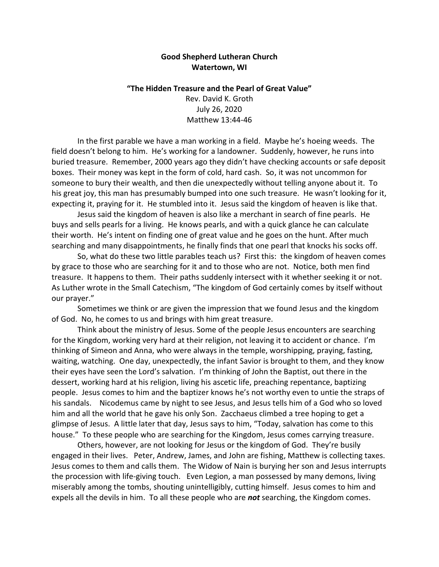## **Good Shepherd Lutheran Church Watertown, WI**

## **"The Hidden Treasure and the Pearl of Great Value"** Rev. David K. Groth

July 26, 2020 Matthew 13:44-46

In the first parable we have a man working in a field. Maybe he's hoeing weeds. The field doesn't belong to him. He's working for a landowner. Suddenly, however, he runs into buried treasure. Remember, 2000 years ago they didn't have checking accounts or safe deposit boxes. Their money was kept in the form of cold, hard cash. So, it was not uncommon for someone to bury their wealth, and then die unexpectedly without telling anyone about it. To his great joy, this man has presumably bumped into one such treasure. He wasn't looking for it, expecting it, praying for it. He stumbled into it. Jesus said the kingdom of heaven is like that.

Jesus said the kingdom of heaven is also like a merchant in search of fine pearls. He buys and sells pearls for a living. He knows pearls, and with a quick glance he can calculate their worth. He's intent on finding one of great value and he goes on the hunt. After much searching and many disappointments, he finally finds that one pearl that knocks his socks off.

So, what do these two little parables teach us? First this: the kingdom of heaven comes by grace to those who are searching for it and to those who are not. Notice, both men find treasure. It happens to them. Their paths suddenly intersect with it whether seeking it or not. As Luther wrote in the Small Catechism, "The kingdom of God certainly comes by itself without our prayer."

Sometimes we think or are given the impression that we found Jesus and the kingdom of God. No, he comes to us and brings with him great treasure.

Think about the ministry of Jesus. Some of the people Jesus encounters are searching for the Kingdom, working very hard at their religion, not leaving it to accident or chance. I'm thinking of Simeon and Anna, who were always in the temple, worshipping, praying, fasting, waiting, watching. One day, unexpectedly, the infant Savior is brought to them, and they know their eyes have seen the Lord's salvation. I'm thinking of John the Baptist, out there in the dessert, working hard at his religion, living his ascetic life, preaching repentance, baptizing people. Jesus comes to him and the baptizer knows he's not worthy even to untie the straps of his sandals. Nicodemus came by night to see Jesus, and Jesus tells him of a God who so loved him and all the world that he gave his only Son. Zacchaeus climbed a tree hoping to get a glimpse of Jesus. A little later that day, Jesus says to him, "Today, salvation has come to this house." To these people who are searching for the Kingdom, Jesus comes carrying treasure.

Others, however, are not looking for Jesus or the kingdom of God. They're busily engaged in their lives. Peter, Andrew, James, and John are fishing, Matthew is collecting taxes. Jesus comes to them and calls them. The Widow of Nain is burying her son and Jesus interrupts the procession with life-giving touch. Even Legion, a man possessed by many demons, living miserably among the tombs, shouting unintelligibly, cutting himself. Jesus comes to him and expels all the devils in him. To all these people who are *not* searching, the Kingdom comes.